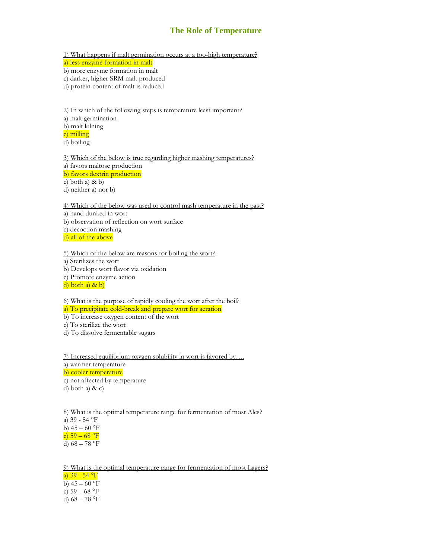## **The Role of Temperature**

1) What happens if malt germination occurs at a too-high temperature?

a) less enzyme formation in malt

b) more enzyme formation in malt

c) darker, higher SRM malt produced

d) protein content of malt is reduced

2) In which of the following steps is temperature least important? a) malt germination b) malt kilning

c) milling

d) boiling

3) Which of the below is true regarding higher mashing temperatures? a) favors maltose production b) favors dextrin production

c) both a) & b)

d) neither a) nor b)

4) Which of the below was used to control mash temperature in the past?

a) hand dunked in wort

b) observation of reflection on wort surface

c) decoction mashing

d) all of the above

5) Which of the below are reasons for boiling the wort?

a) Sterilizes the wort

b) Develops wort flavor via oxidation

c) Promote enzyme action

 $\overrightarrow{d}$ ) both a) & b)

6) What is the purpose of rapidly cooling the wort after the boil? a) To precipitate cold-break and prepare wort for aeration

b) To increase oxygen content of the wort

c) To sterilize the wort

d) To dissolve fermentable sugars

7) Increased equilibrium oxygen solubility in wort is favored by…. a) warmer temperature b) cooler temperature c) not affected by temperature

d) both a) & c)

8) What is the optimal temperature range for fermentation of most Ales? a) 39 - 54 °F b)  $45 - 60$  °F  $\frac{c}{c}$  59 – 68 °F d)  $68 - 78$  °F

9) What is the optimal temperature range for fermentation of most Lagers? a)  $39 - 54$  °F b)  $45 - 60$  °F c)  $59 - 68$  °F d)  $68 - 78$  °F